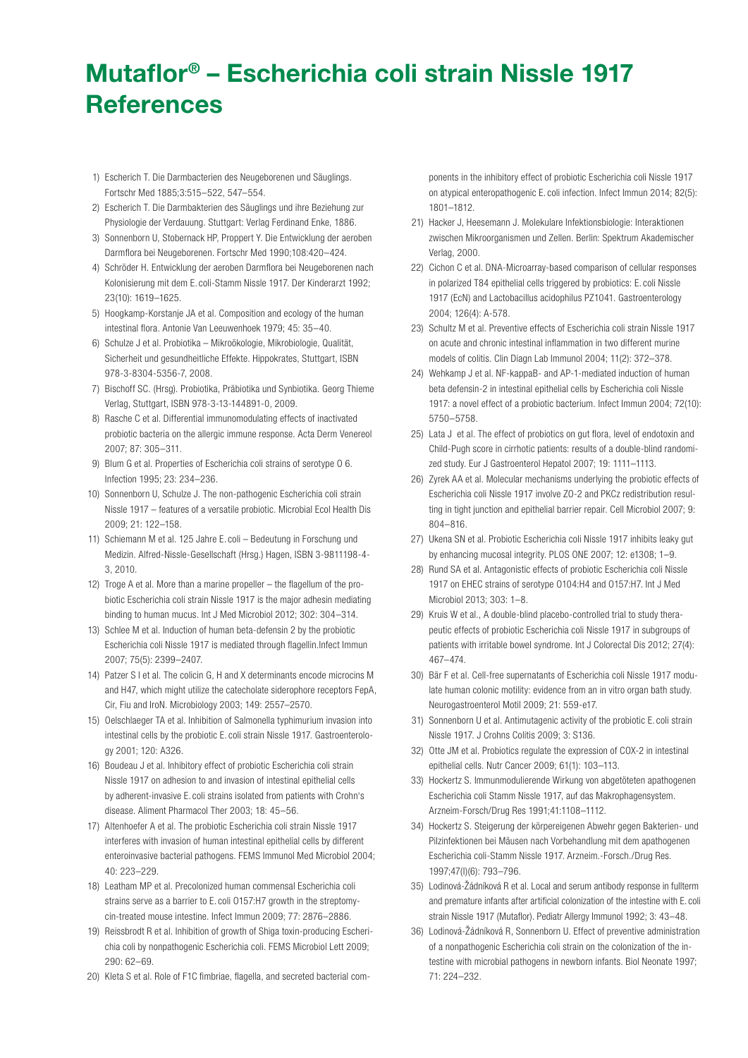## Mutaflor® – Escherichia coli strain Nissle 1917 **References**

- 1) Escherich T. Die Darmbacterien des Neugeborenen und Säuglings. Fortschr Med 1885;3:515–522, 547–554.
- 2) Escherich T. Die Darmbakterien des Säuglings und ihre Beziehung zur Physiologie der Verdauung. Stuttgart: Verlag Ferdinand Enke, 1886.
- 3) Sonnenborn U, Stobernack HP, Proppert Y. Die Entwicklung der aeroben Darmflora bei Neugeborenen. Fortschr Med 1990;108:420–424.
- 4) Schröder H. Entwicklung der aeroben Darmflora bei Neugeborenen nach Kolonisierung mit dem E. coli-Stamm Nissle 1917. Der Kinderarzt 1992; 23(10): 1619–1625.
- 5) Hoogkamp-Korstanje JA et al. Composition and ecology of the human intestinal flora. Antonie Van Leeuwenhoek 1979; 45: 35–40.
- 6) Schulze J et al. Probiotika Mikroökologie, Mikrobiologie, Qualität, Sicherheit und gesundheitliche Effekte. Hippokrates, Stuttgart, ISBN 978-3-8304-5356-7, 2008.
- 7) Bischoff SC. (Hrsg). Probiotika, Präbiotika und Synbiotika. Georg Thieme Verlag, Stuttgart, ISBN 978-3-13-144891-0, 2009.
- 8) Rasche C et al. Differential immunomodulating effects of inactivated probiotic bacteria on the allergic immune response. Acta Derm Venereol 2007; 87: 305–311.
- 9) Blum G et al. Properties of Escherichia coli strains of serotype O 6. Infection 1995; 23: 234–236.
- 10) Sonnenborn U, Schulze J. The non-pathogenic Escherichia coli strain Nissle 1917 – features of a versatile probiotic. Microbial Ecol Health Dis 2009; 21: 122–158.
- 11) Schiemann M et al. 125 Jahre E. coli Bedeutung in Forschung und Medizin. Alfred-Nissle-Gesellschaft (Hrsg.) Hagen, ISBN 3-9811198-4- 3, 2010.
- 12) Troge A et al. More than a marine propeller the flagellum of the probiotic Escherichia coli strain Nissle 1917 is the major adhesin mediating binding to human mucus. Int J Med Microbiol 2012; 302: 304–314.
- 13) Schlee M et al. Induction of human beta-defensin 2 by the probiotic Escherichia coli Nissle 1917 is mediated through flagellin.Infect Immun 2007; 75(5): 2399–2407.
- 14) Patzer S I et al. The colicin G, H and X determinants encode microcins M and H47, which might utilize the catecholate siderophore receptors FepA, Cir, Fiu and IroN. Microbiology 2003; 149: 2557–2570.
- 15) Oelschlaeger TA et al. Inhibition of Salmonella typhimurium invasion into intestinal cells by the probiotic E. coli strain Nissle 1917. Gastroenterology 2001; 120: A326.
- 16) Boudeau J et al. Inhibitory effect of probiotic Escherichia coli strain Nissle 1917 on adhesion to and invasion of intestinal epithelial cells by adherent-invasive E. coli strains isolated from patients with Crohn's disease. Aliment Pharmacol Ther 2003; 18: 45–56.
- 17) Altenhoefer A et al. The probiotic Escherichia coli strain Nissle 1917 interferes with invasion of human intestinal epithelial cells by different enteroinvasive bacterial pathogens. FEMS Immunol Med Microbiol 2004; 40: 223–229.
- 18) Leatham MP et al. Precolonized human commensal Escherichia coli strains serve as a barrier to E. coli O157:H7 growth in the streptomycin-treated mouse intestine. Infect Immun 2009; 77: 2876–2886.
- 19) Reissbrodt R et al. Inhibition of growth of Shiga toxin-producing Escherichia coli by nonpathogenic Escherichia coli. FEMS Microbiol Lett 2009; 290: 62–69.
- 20) Kleta S et al. Role of F1C fimbriae, flagella, and secreted bacterial com-

ponents in the inhibitory effect of probiotic Escherichia coli Nissle 1917 on atypical enteropathogenic E. coli infection. Infect Immun 2014; 82(5): 1801–1812.

- 21) Hacker J, Heesemann J. Molekulare Infektionsbiologie: Interaktionen zwischen Mikroorganismen und Zellen. Berlin: Spektrum Akademischer Verlag, 2000.
- 22) Cichon C et al. DNA-Microarray-based comparison of cellular responses in polarized T84 epithelial cells triggered by probiotics: E. coli Nissle 1917 (EcN) and Lactobacillus acidophilus PZ1041. Gastroenterology 2004; 126(4): A-578.
- 23) Schultz M et al. Preventive effects of Escherichia coli strain Nissle 1917 on acute and chronic intestinal inflammation in two different murine models of colitis. Clin Diagn Lab Immunol 2004; 11(2): 372–378.
- 24) Wehkamp J et al. NF-kappaB- and AP-1-mediated induction of human beta defensin-2 in intestinal epithelial cells by Escherichia coli Nissle 1917: a novel effect of a probiotic bacterium. Infect Immun 2004; 72(10): 5750–5758.
- 25) Lata J et al. The effect of probiotics on gut flora, level of endotoxin and Child-Pugh score in cirrhotic patients: results of a double-blind randomized study. Eur J Gastroenterol Hepatol 2007; 19: 1111–1113.
- 26) Zyrek AA et al. Molecular mechanisms underlying the probiotic effects of Escherichia coli Nissle 1917 involve ZO-2 and PKCz redistribution resulting in tight junction and epithelial barrier repair. Cell Microbiol 2007; 9: 804–816.
- 27) Ukena SN et al. Probiotic Escherichia coli Nissle 1917 inhibits leaky gut by enhancing mucosal integrity. PLOS ONE 2007; 12: e1308; 1–9.
- 28) Rund SA et al. Antagonistic effects of probiotic Escherichia coli Nissle 1917 on EHEC strains of serotype O104:H4 and O157:H7. Int J Med Microbiol 2013; 303: 1–8.
- 29) Kruis W et al., A double-blind placebo-controlled trial to study therapeutic effects of probiotic Escherichia coli Nissle 1917 in subgroups of patients with irritable bowel syndrome. Int J Colorectal Dis 2012; 27(4): 467–474.
- 30) Bär F et al. Cell-free supernatants of Escherichia coli Nissle 1917 modulate human colonic motility: evidence from an in vitro organ bath study. Neurogastroenterol Motil 2009; 21: 559-e17.
- 31) Sonnenborn U et al. Antimutagenic activity of the probiotic E. coli strain Nissle 1917. J Crohns Colitis 2009; 3: S136.
- 32) Otte JM et al. Probiotics regulate the expression of COX-2 in intestinal epithelial cells. Nutr Cancer 2009; 61(1): 103–113.
- 33) Hockertz S. Immunmodulierende Wirkung von abgetöteten apathogenen Escherichia coli Stamm Nissle 1917, auf das Makrophagensystem. Arzneim-Forsch/Drug Res 1991;41:1108–1112.
- 34) Hockertz S. Steigerung der körpereigenen Abwehr gegen Bakterien- und Pilzinfektionen bei Mäusen nach Vorbehandlung mit dem apathogenen Escherichia coli-Stamm Nissle 1917. Arzneim.-Forsch./Drug Res. 1997;47(I)(6): 793–796.
- 35) Lodinová-Žádníková R et al. Local and serum antibody response in fullterm and premature infants after artificial colonization of the intestine with E. coli strain Nissle 1917 (Mutaflor). Pediatr Allergy Immunol 1992; 3: 43–48.
- 36) Lodinová-Žádníková R, Sonnenborn U. Effect of preventive administration of a nonpathogenic Escherichia coli strain on the colonization of the intestine with microbial pathogens in newborn infants. Biol Neonate 1997; 71: 224–232.